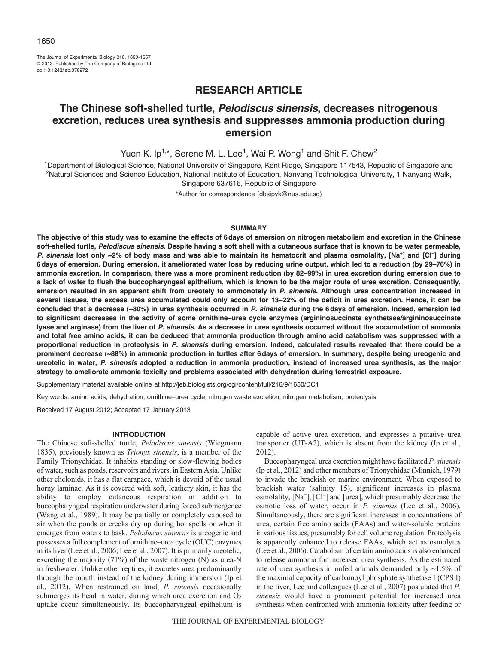The Journal of Experimental Biology 216, 1650-1657 © 2013. Published by The Company of Biologists Ltd doi:10.1242/jeb.078972

# **RESEARCH ARTICLE**

# **The Chinese soft-shelled turtle,** *Pelodiscus sinensis***, decreases nitrogenous excretion, reduces urea synthesis and suppresses ammonia production during emersion**

Yuen K. Ip<sup>1,\*</sup>, Serene M. L. Lee<sup>1</sup>, Wai P. Wong<sup>1</sup> and Shit F. Chew<sup>2</sup>

1Department of Biological Science, National University of Singapore, Kent Ridge, Singapore 117543, Republic of Singapore and <sup>2</sup>Natural Sciences and Science Education, National Institute of Education, Nanyang Technological University, 1 Nanyang Walk, Singapore 637616, Republic of Singapore

\*Author for correspondence (dbsipyk@nus.edu.sg)

# **SUMMARY**

**The objective of this study was to examine the effects of 6days of emersion on nitrogen metabolism and excretion in the Chinese soft-shelled turtle,** *Pelodiscus sinensis***. Despite having a soft shell with a cutaneous surface that is known to be water permeable,** *P. sinensis* **lost only ~2% of body mass and was able to maintain its hematocrit and plasma osmolality, [Na+] and [Cl–] during 6days of emersion. During emersion, it ameliorated water loss by reducing urine output, which led to a reduction (by 29–76%) in ammonia excretion. In comparison, there was a more prominent reduction (by 82–99%) in urea excretion during emersion due to a lack of water to flush the buccopharyngeal epithelium, which is known to be the major route of urea excretion. Consequently, emersion resulted in an apparent shift from ureotely to ammonotely in** *P. sinensis***. Although urea concentration increased in several tissues, the excess urea accumulated could only account for 13–22% of the deficit in urea excretion. Hence, it can be concluded that a decrease (~80%) in urea synthesis occurred in** *P. sinensis* **during the 6days of emersion. Indeed, emersion led to significant decreases in the activity of some ornithine–urea cycle enzymes (argininosuccinate synthetase/argininosuccinate lyase and arginase) from the liver of** *P. sinensis***. As a decrease in urea synthesis occurred without the accumulation of ammonia and total free amino acids, it can be deduced that ammonia production through amino acid catabolism was suppressed with a proportional reduction in proteolysis in** *P. sinensis* **during emersion. Indeed, calculated results revealed that there could be a prominent decrease (~88%) in ammonia production in turtles after 6days of emersion. In summary, despite being ureogenic and ureotelic in water,** *P. sinensis* **adopted a reduction in ammonia production, instead of increased urea synthesis, as the major strategy to ameliorate ammonia toxicity and problems associated with dehydration during terrestrial exposure.**

Supplementary material available online at http://jeb.biologists.org/cgi/content/full/216/9/1650/DC1

Key words: amino acids, dehydration, ornithine–urea cycle, nitrogen waste excretion, nitrogen metabolism, proteolysis.

Received 17 August 2012; Accepted 17 January 2013

#### **INTRODUCTION**

The Chinese soft-shelled turtle, *Pelodiscus sinensis* (Wiegmann 1835), previously known as *Trionyx sinensis*, is a member of the Family Trionychidae. It inhabits standing or slow-flowing bodies of water, such as ponds, reservoirs and rivers, in Eastern Asia. Unlike other chelonids, it has a flat carapace, which is devoid of the usual horny laminae. As it is covered with soft, leathery skin, it has the ability to employ cutaneous respiration in addition to buccopharyngeal respiration underwater during forced submergence (Wang et al., 1989). It may be partially or completely exposed to air when the ponds or creeks dry up during hot spells or when it emerges from waters to bask. *Pelodiscus sinensis* is ureogenic and possesses a full complement of ornithine–urea cycle (OUC) enzymes in its liver (Lee et al., 2006; Lee et al., 2007). It is primarily ureotelic, excreting the majority (71%) of the waste nitrogen (N) as urea-N in freshwater. Unlike other reptiles, it excretes urea predominantly through the mouth instead of the kidney during immersion (Ip et al., 2012). When restrained on land, *P. sinensis* occasionally submerges its head in water, during which urea excretion and  $O<sub>2</sub>$ uptake occur simultaneously. Its buccopharyngeal epithelium is

capable of active urea excretion, and expresses a putative urea transporter (UT-A2), which is absent from the kidney (Ip et al., 2012).

Buccopharyngeal urea excretion might have facilitated *P. sinensis* (Ip et al., 2012) and other members of Trionychidae (Minnich, 1979) to invade the brackish or marine environment. When exposed to brackish water (salinity 15), significant increases in plasma osmolality,  $[Na^+]$ ,  $[Cl^-]$  and  $[urea]$ , which presumably decrease the osmotic loss of water, occur in *P. sinensis* (Lee et al., 2006). Simultaneously, there are significant increases in concentrations of urea, certain free amino acids (FAAs) and water-soluble proteins in various tissues, presumably for cell volume regulation. Proteolysis is apparently enhanced to release FAAs, which act as osmolytes (Lee et al., 2006). Catabolism of certain amino acids is also enhanced to release ammonia for increased urea synthesis. As the estimated rate of urea synthesis in unfed animals demanded only ~1.5% of the maximal capacity of carbamoyl phosphate synthetase I (CPS I) in the liver, Lee and colleagues (Lee et al., 2007) postulated that *P. sinensis* would have a prominent potential for increased urea synthesis when confronted with ammonia toxicity after feeding or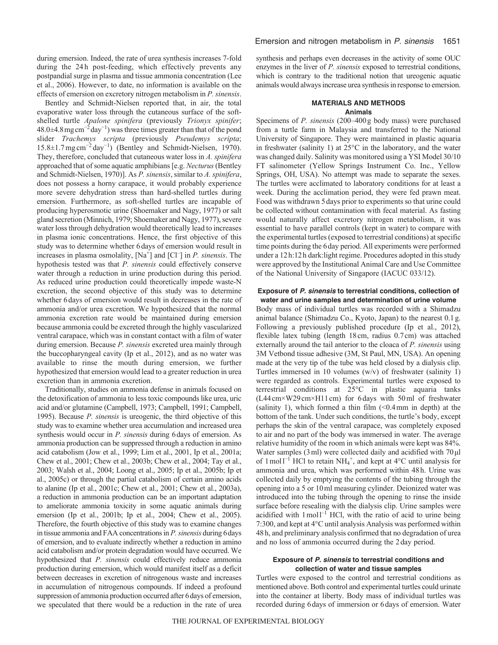during emersion. Indeed, the rate of urea synthesis increases 7-fold during the 24h post-feeding, which effectively prevents any postpandial surge in plasma and tissue ammonia concentration (Lee et al., 2006). However, to date, no information is available on the effects of emersion on excretory nitrogen metabolism in *P. sinensis*.

Bentley and Schmidt-Nielsen reported that, in air, the total evaporative water loss through the cutaneous surface of the softshelled turtle *Apalone spinifera* (previously *Trionyx spinifer*; 48.0±4.8mgcm<sup>−</sup><sup>2</sup> day<sup>−</sup><sup>1</sup> ) was three times greater than that of the pond slider *Trachemys scripta* (previously *Pseudemys scripta*; 15.8±1.7mg cm<sup>−</sup><sup>2</sup> day<sup>−</sup><sup>1</sup> ) (Bentley and Schmidt-Nielsen, 1970). They, therefore, concluded that cutaneous water loss in *A. spinifera* approached that of some aquatic amphibians [e.g. *Necturus*(Bentley and Schmidt-Nielsen, 1970)]. As *P. sinensis*, similar to *A. spinifera*, does not possess a horny carapace, it would probably experience more severe dehydration stress than hard-shelled turtles during emersion. Furthermore, as soft-shelled turtles are incapable of producing hyperosmotic urine (Shoemaker and Nagy, 1977) or salt gland secretion (Minnich, 1979; Shoemaker and Nagy, 1977), severe water loss through dehydration would theoretically lead to increases in plasma ionic concentrations. Hence, the first objective of this study was to determine whether 6days of emersion would result in increases in plasma osmolality,  $[Na^+]$  and  $[Cl^-]$  in *P. sinensis*. The hypothesis tested was that *P. sinensis* could effectively conserve water through a reduction in urine production during this period. As reduced urine production could theoretically impede waste-N excretion, the second objective of this study was to determine whether 6days of emersion would result in decreases in the rate of ammonia and/or urea excretion. We hypothesized that the normal ammonia excretion rate would be maintained during emersion because ammonia could be excreted through the highly vascularized ventral carapace, which was in constant contact with a film of water during emersion. Because *P. sinensis* excreted urea mainly through the buccopharyngeal cavity (Ip et al., 2012), and as no water was available to rinse the mouth during emersion, we further hypothesized that emersion would lead to a greater reduction in urea excretion than in ammonia excretion.

Traditionally, studies on ammonia defense in animals focused on the detoxification of ammonia to less toxic compounds like urea, uric acid and/or glutamine (Campbell, 1973; Campbell, 1991; Campbell, 1995). Because *P. sinensis* is ureogenic, the third objective of this study was to examine whether urea accumulation and increased urea synthesis would occur in *P. sinensis* during 6days of emersion. As ammonia production can be suppressed through a reduction in amino acid catabolism (Jow et al., 1999; Lim et al., 2001, Ip et al., 2001a; Chew et al., 2001; Chew et al., 2003b; Chew et al., 2004; Tay et al., 2003; Walsh et al., 2004; Loong et al., 2005; Ip et al., 2005b; Ip et al., 2005c) or through the partial catabolism of certain amino acids to alanine (Ip et al., 2001c; Chew et al., 2001; Chew et al., 2003a), a reduction in ammonia production can be an important adaptation to ameliorate ammonia toxicity in some aquatic animals during emersion (Ip et al., 2001b; Ip et al., 2004; Chew et al., 2005). Therefore, the fourth objective of this study was to examine changes in tissue ammonia and FAA concentrations in *P. sinensis* during 6days of emersion, and to evaluate indirectly whether a reduction in amino acid catabolism and/or protein degradation would have occurred. We hypothesized that *P. sinensis* could effectively reduce ammonia production during emersion, which would manifest itself as a deficit between decreases in excretion of nitrogenous waste and increases in accumulation of nitrogenous compounds. If indeed a profound suppression of ammonia production occurred after 6days of emersion, we speculated that there would be a reduction in the rate of urea synthesis and perhaps even decreases in the activity of some OUC enzymes in the liver of *P. sinensis* exposed to terrestrial conditions, which is contrary to the traditional notion that ureogenic aquatic animals would always increase urea synthesis in response to emersion.

# **MATERIALS AND METHODS Animals**

Specimens of *P. sinensis* (200–400g body mass) were purchased from a turtle farm in Malaysia and transferred to the National University of Singapore. They were maintained in plastic aquaria in freshwater (salinity 1) at 25°C in the laboratory, and the water was changed daily. Salinity was monitored using a YSI Model 30/10 FT salinometer (Yellow Springs Instrument Co. Inc., Yellow Springs, OH, USA). No attempt was made to separate the sexes. The turtles were acclimated to laboratory conditions for at least a week. During the acclimation period, they were fed prawn meat. Food was withdrawn 5days prior to experiments so that urine could be collected without contamination with fecal material. As fasting would naturally affect excretory nitrogen metabolism, it was essential to have parallel controls (kept in water) to compare with the experimental turtles (exposed to terrestrial conditions) at specific time points during the 6day period. All experiments were performed under a 12h:12h dark:light regime. Procedures adopted in this study were approved by the Institutional Animal Care and Use Committee of the National University of Singapore (IACUC 033/12).

## **Exposure of** *P. sinensis* **to terrestrial conditions, collection of water and urine samples and determination of urine volume**

Body mass of individual turtles was recorded with a Shimadzu animal balance (Shimadzu Co., Kyoto, Japan) to the nearest 0.1g. Following a previously published procedure (Ip et al., 2012), flexible latex tubing (length 18cm, radius 0.7cm) was attached externally around the tail anterior to the cloaca of *P. sinensis* using 3M Vetbond tissue adhesive (3M, St Paul, MN, USA). An opening made at the very tip of the tube was held closed by a dialysis clip. Turtles immersed in 10 volumes (w/v) of freshwater (salinity 1) were regarded as controls. Experimental turtles were exposed to terrestrial conditions at 25°C in plastic aquaria tanks (L44cm×W29cm×H11cm) for 6days with 50ml of freshwater (salinity 1), which formed a thin film  $\ll 0.4$  mm in depth) at the bottom of the tank. Under such conditions, the turtle's body, except perhaps the skin of the ventral carapace, was completely exposed to air and no part of the body was immersed in water. The average relative humidity of the room in which animals were kept was 84%. Water samples (3ml) were collected daily and acidified with 70μl of 1 moll<sup>-1</sup> HCl to retain NH<sub>4</sub><sup>+</sup>, and kept at 4<sup>o</sup>C until analysis for ammonia and urea, which was performed within 48h. Urine was collected daily by emptying the contents of the tubing through the opening into a 5 or 10ml measuring cylinder. Deionized water was introduced into the tubing through the opening to rinse the inside surface before resealing with the dialysis clip. Urine samples were acidified with  $1 \text{ mol}^{-1}$  HCl, with the ratio of acid to urine being 7:300, and kept at 4°C until analysis Analysis was performed within 48h, and preliminary analysis confirmed that no degradation of urea and no loss of ammonia occurred during the 2day period.

## **Exposure of** *P. sinensis* **to terrestrial conditions and collection of water and tissue samples**

Turtles were exposed to the control and terrestrial conditions as mentioned above. Both control and experimental turtles could urinate into the container at liberty. Body mass of individual turtles was recorded during 6days of immersion or 6days of emersion. Water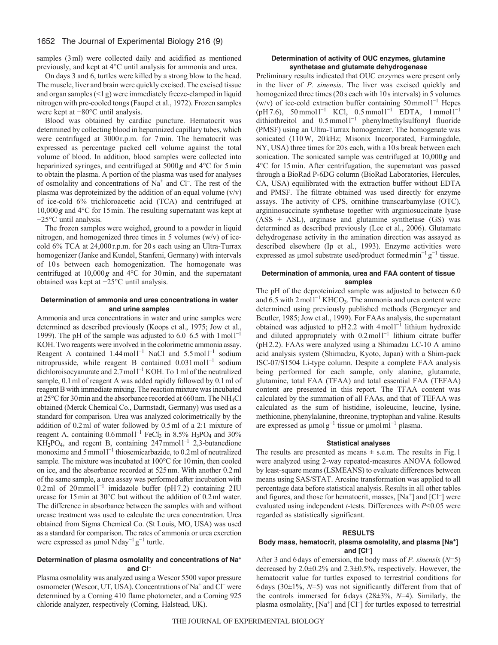# 1652 The Journal of Experimental Biology 216 (9)

samples (3 ml) were collected daily and acidified as mentioned previously, and kept at 4°C until analysis for ammonia and urea.

On days 3 and 6, turtles were killed by a strong blow to the head. The muscle, liver and brain were quickly excised. The excised tissue and organ samples  $($   $\leq$  l  $g$ ) were immediately freeze-clamped in liquid nitrogen with pre-cooled tongs (Faupel et al., 1972). Frozen samples were kept at −80°C until analysis.

Blood was obtained by cardiac puncture. Hematocrit was determined by collecting blood in heparinized capillary tubes, which were centrifuged at 3000r.p.m. for 7min. The hematocrit was expressed as percentage packed cell volume against the total volume of blood. In addition, blood samples were collected into heparinized syringes, and centrifuged at 5000*g* and 4°C for 5min to obtain the plasma. A portion of the plasma was used for analyses of osmolality and concentrations of Na<sup>+</sup> and Cl<sup>-</sup>. The rest of the plasma was deproteinized by the addition of an equal volume  $(v/v)$ of ice-cold 6% trichloroacetic acid (TCA) and centrifuged at 10,000*g* and 4°C for 15min. The resulting supernatant was kept at −25°C until analysis.

The frozen samples were weighed, ground to a powder in liquid nitrogen, and homogenized three times in 5 volumes (w/v) of icecold 6% TCA at 24,000r.p.m. for 20s each using an Ultra-Turrax homogenizer (Janke and Kundel, Stanfeni, Germany) with intervals of 10s between each homogenization. The homogenate was centrifuged at 10,000*g* and 4°C for 30min, and the supernatant obtained was kept at −25°C until analysis.

# **Determination of ammonia and urea concentrations in water and urine samples**

Ammonia and urea concentrations in water and urine samples were determined as described previously (Koops et al., 1975; Jow et al., 1999). The pH of the sample was adjusted to  $6.0-6.5$  with  $1 \text{ mol}^{-1}$ KOH. Two reagents were involved in the colorimetric ammonia assay. Reagent A contained  $1.44 \text{ mol}^{-1}$  NaCl and  $5.5 \text{ mol}^{-1}$  sodium nitroprusside, while reagent B contained  $0.031 \text{ mol}^{-1}$  sodium dichloroisocyanurate and 2.7 mol1<sup>-1</sup> KOH. To 1 ml of the neutralized sample, 0.1 ml of reagent A was added rapidly followed by 0.1 ml of reagent B with immediate mixing. The reaction mixture was incubated at 25°C for 30min and the absorbance recorded at 660nm. The NH4Cl obtained (Merck Chemical Co., Darmstadt, Germany) was used as a standard for comparison. Urea was analyzed colorimetrically by the addition of 0.2ml of water followed by 0.5ml of a 2:1 mixture of reagent A, containing  $0.6$  mmol<sup>1-1</sup> FeCl<sub>3</sub> in 8.5% H<sub>3</sub>PO<sub>4</sub> and 30%  $KH<sub>2</sub>PO<sub>4</sub>$ , and regent B, containing 247 mmol<sup>1-1</sup> 2,3-butanedione monoxime and 5 mmol<sup>1-1</sup> thiosemicarbazide, to 0.2 ml of neutralized sample. The mixture was incubated at 100°C for 10 min, then cooled on ice, and the absorbance recorded at 525nm. With another 0.2ml of the same sample, a urea assay was performed after incubation with 0.2 ml of 20 mmol<sup>1-1</sup> imidazole buffer (pH7.2) containing 2IU urease for 15min at 30°C but without the addition of 0.2ml water. The difference in absorbance between the samples with and without urease treatment was used to calculate the urea concentration. Urea obtained from Sigma Chemical Co. (St Louis, MO, USA) was used as a standard for comparison. The rates of ammonia or urea excretion were expressed as  $\mu$ mol Nday<sup>-1</sup> g<sup>-1</sup> turtle.

# **Determination of plasma osmolality and concentrations of Na+ and Cl–**

Plasma osmolality was analyzed using a Wescor 5500 vapor pressure osmometer (Wescor, UT, USA). Concentrations of Na+ and Cl– were determined by a Corning 410 flame photometer, and a Corning 925 chloride analyzer, respectively (Corning, Halstead, UK).

# **Determination of activity of OUC enzymes, glutamine synthetase and glutamate dehydrogenase**

Preliminary results indicated that OUC enzymes were present only in the liver of *P. sinensis*. The liver was excised quickly and homogenized three times (20s each with 10s intervals) in 5 volumes  $(w/v)$  of ice-cold extraction buffer containing 50mmol<sup>1-1</sup> Hepes  $(pH7.6)$ , 50 mmol l<sup>-1</sup> KCl, 0.5 mmol l<sup>-1</sup> EDTA, 1 mmol l<sup>-1</sup> dithiothreitol and  $0.5$  mmol  $l^{-1}$  phenylmethylsulfonyl fluoride (PMSF) using an Ultra-Turrax homogenizer. The homogenate was sonicated (110W, 20kHz; Misonix Incorporated, Farmingdale, NY, USA) three times for 20s each, with a 10s break between each sonication. The sonicated sample was centrifuged at 10,000*g* and 4°C for 15min. After centrifugation, the supernatant was passed through a BioRad P-6DG column (BioRad Laboratories, Hercules, CA, USA) equilibrated with the extraction buffer without EDTA and PMSF. The filtrate obtained was used directly for enzyme assays. The activity of CPS, ornithine transcarbamylase (OTC), argininosuccinate synthetase together with arginiosuccinate lyase (ASS + ASL), arginase and glutamine synthetase (GS) was determined as described previously (Lee et al., 2006). Glutamate dehydrogenase activity in the amination direction was assayed as described elsewhere (Ip et al., 1993). Enzyme activities were expressed as µmol substrate used/product formed min<sup>-1</sup> g<sup>-1</sup> tissue.

# **Determination of ammonia, urea and FAA content of tissue samples**

The pH of the deproteinized sample was adjusted to between 6.0 and  $6.5$  with  $2 \text{ mol}^{-1}$  KHCO<sub>3</sub>. The ammonia and urea content were determined using previously published methods (Bergmeyer and Beutler, 1985; Jow et al., 1999). For FAAs analysis, the supernatant obtained was adjusted to pH2.2 with  $4 \text{ mol}^{-1}$  lithium hydroxide and diluted appropriately with  $0.2 \text{ mol}^{-1}$  lithium citrate buffer (pH2.2). FAAs were analyzed using a Shimadzu LC-10 A amino acid analysis system (Shimadzu, Kyoto, Japan) with a Shim-pack ISC-07/S1504 Li-type column. Despite a complete FAA analysis being performed for each sample, only alanine, glutamate, glutamine, total FAA (TFAA) and total essential FAA (TEFAA) content are presented in this report. The TFAA content was calculated by the summation of all FAAs, and that of TEFAA was calculated as the sum of histidine, isoleucine, leucine, lysine, methionine, phenylalanine, threonine, tryptophan and valine. Results are expressed as μmolg<sup>−</sup><sup>1</sup> tissue or μmolml<sup>−</sup><sup>1</sup> plasma.

## **Statistical analyses**

The results are presented as means  $\pm$  s.e.m. The results in Fig. 1 were analyzed using 2-way repeated-measures ANOVA followed by least-square means (LSMEANS) to evaluate differences between means using SAS/STAT. Arcsine transformation was applied to all percentage data before statistical analysis. Results in all other tables and figures, and those for hematocrit, masses,  $[Na^+]$  and  $[Cl^-]$  were evaluated using independent *t*-tests. Differences with *P*<0.05 were regarded as statistically significant.

## **RESULTS**

# **Body mass, hematocrit, plasma osmolality, and plasma [Na+] and [Cl–]**

After 3 and 6days of emersion, the body mass of *P. sinensis* (*N*=5) decreased by 2.0±0.2% and 2.3±0.5%, respectively. However, the hematocrit value for turtles exposed to terrestrial conditions for 6 days (30 $\pm$ 1%, N=5) was not significantly different from that of the controls immersed for 6days (28±3%, *N*=4). Similarly, the plasma osmolality,  $[Na^+]$  and  $[Cl^-]$  for turtles exposed to terrestrial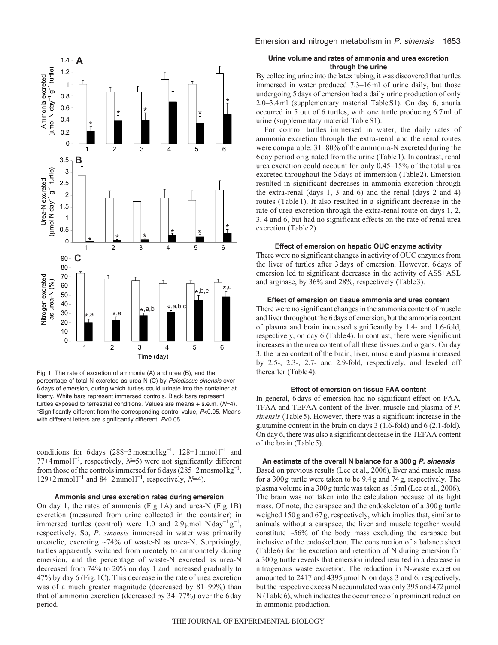

Fig. 1. The rate of excretion of ammonia (A) and urea (B), and the percentage of total-N excreted as urea-N (C) by *Pelodiscus sinensis* over 6 days of emersion, during which turtles could urinate into the container at liberty. White bars represent immersed controls. Black bars represent turtles exposed to terrestrial conditions. Values are means + s.e.m. (*N*=4). \*Significantly different from the corresponding control value, *P*<0.05. Means with different letters are significantly different, *P*<0.05.

conditions for 6 days  $(288 \pm 3 \text{ mosh} \text{kg}^{-1}, 128 \pm 1 \text{ mmol} \text{m}^{-1}$  and 77±4 mmol1<sup>-1</sup>, respectively, N=5) were not significantly different from those of the controls immersed for 6 days ( $285\pm2$  mosmol kg<sup>-1</sup>, 129±2 mmol<sup>1-1</sup> and 84±2 mmol<sup>1-1</sup>, respectively,  $N=4$ ).

# **Ammonia and urea excretion rates during emersion**

On day 1, the rates of ammonia (Fig. 1A) and urea-N (Fig. 1B) excretion (measured from urine collected in the container) in immersed turtles (control) were 1.0 and 2.9µmol Nday<sup>-1</sup>g<sup>-1</sup>, respectively. So, *P. sinensis* immersed in water was primarily ureotelic, excreting ~74% of waste-N as urea-N. Surprisingly, turtles apparently switched from ureotely to ammonotely during emersion, and the percentage of waste-N excreted as urea-N decreased from 74% to 20% on day 1 and increased gradually to 47% by day 6 (Fig. 1C). This decrease in the rate of urea excretion was of a much greater magnitude (decreased by 81–99%) than that of ammonia excretion (decreased by 34–77%) over the 6day period.

# **Urine volume and rates of ammonia and urea excretion through the urine**

By collecting urine into the latex tubing, it was discovered that turtles immersed in water produced 7.3–16ml of urine daily, but those undergoing 5days of emersion had a daily urine production of only 2.0–3.4ml (supplementary material TableS1). On day 6, anuria occurred in 5 out of 6 turtles, with one turtle producing 6.7ml of urine (supplementary material TableS1).

For control turtles immersed in water, the daily rates of ammonia excretion through the extra-renal and the renal routes were comparable: 31–80% of the ammonia-N excreted during the 6 day period originated from the urine (Table1). In contrast, renal urea excretion could account for only 0.45–15% of the total urea excreted throughout the 6 days of immersion (Table2). Emersion resulted in significant decreases in ammonia excretion through the extra-renal (days 1, 3 and 6) and the renal (days 2 and 4) routes (Table 1). It also resulted in a significant decrease in the rate of urea excretion through the extra-renal route on days 1, 2, 3, 4 and 6, but had no significant effects on the rate of renal urea excretion (Table 2).

#### **Effect of emersion on hepatic OUC enzyme activity**

There were no significant changes in activity of OUC enzymes from the liver of turtles after 3days of emersion. However, 6days of emersion led to significant decreases in the activity of ASS+ASL and arginase, by 36% and 28%, respectively (Table3).

## **Effect of emersion on tissue ammonia and urea content**

There were no significant changes in the ammonia content of muscle and liver throughout the 6days of emersion, but the ammonia content of plasma and brain increased significantly by 1.4- and 1.6-fold, respectively, on day 6 (Table4). In contrast, there were significant increases in the urea content of all these tissues and organs. On day 3, the urea content of the brain, liver, muscle and plasma increased by 2.5-, 2.3-, 2.7- and 2.9-fold, respectively, and leveled off thereafter (Table4).

# **Effect of emersion on tissue FAA content**

In general, 6days of emersion had no significant effect on FAA, TFAA and TEFAA content of the liver, muscle and plasma of *P. sinensis* (Table5). However, there was a significant increase in the glutamine content in the brain on days 3 (1.6-fold) and 6 (2.1-fold). On day 6, there was also a significant decrease in the TEFAA content of the brain (Table 5).

## **An estimate of the overall N balance for a 300g** *P. sinensis*

Based on previous results (Lee et al., 2006), liver and muscle mass for a 300g turtle were taken to be 9.4g and 74g, respectively. The plasma volume in a 300g turtle was taken as 15ml (Lee et al., 2006). The brain was not taken into the calculation because of its light mass. Of note, the carapace and the endoskeleton of a 300g turtle weighed 150g and 67g, respectively, which implies that, similar to animals without a carapace, the liver and muscle together would constitute  $~56\%$  of the body mass excluding the carapace but inclusive of the endoskeleton. The construction of a balance sheet (Table6) for the excretion and retention of N during emersion for a 300g turtle reveals that emersion indeed resulted in a decrease in nitrogenous waste excretion. The reduction in N-waste excretion amounted to 2417 and 4395μmol N on days 3 and 6, respectively, but the respective excess N accumulated was only 395 and 472μmol N (Table6), which indicates the occurrence of a prominent reduction in ammonia production.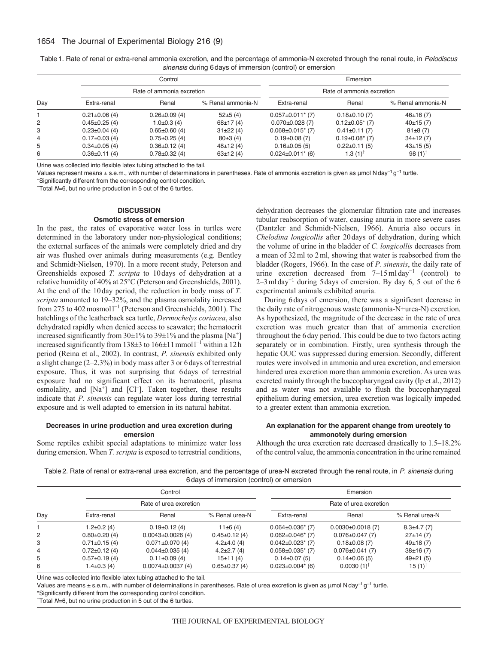| Table 1. Rate of renal or extra-renal ammonia excretion, and the percentage of ammonia-N excreted through the renal route, in Pelodiscus |  |
|------------------------------------------------------------------------------------------------------------------------------------------|--|
| sinensis during 6 days of immersion (control) or emersion                                                                                |  |

|     |                     | Control                   |                   | Emersion<br>Rate of ammonia excretion |                       |                       |  |
|-----|---------------------|---------------------------|-------------------|---------------------------------------|-----------------------|-----------------------|--|
|     |                     | Rate of ammonia excretion |                   |                                       |                       |                       |  |
| Day | Extra-renal         | Renal                     | % Renal ammonia-N | Extra-renal                           | Renal                 | % Renal ammonia-N     |  |
|     | $0.21 \pm 0.06$ (4) | $0.26 \pm 0.09$ (4)       | $52\pm 5(4)$      | $0.057 \pm 0.011$ * (7)               | $0.18 \pm 0.10(7)$    | 46±16(7)              |  |
| 2   | $0.45 \pm 0.25(4)$  | $1.0 \pm 0.3$ (4)         | $68 \pm 17(4)$    | $0.070 \pm 0.028$ (7)                 | $0.12 \pm 0.05$ * (7) | 40±15(7)              |  |
| 3   | $0.23 \pm 0.04$ (4) | $0.65 \pm 0.60$ (4)       | $31\pm22(4)$      | $0.068 \pm 0.015$ * (7)               | $0.41 \pm 0.11(7)$    | $81\pm8(7)$           |  |
| 4   | $0.17\pm0.03(4)$    | $0.75 \pm 0.25$ (4)       | 80±3(4)           | $0.19\pm0.08(7)$                      | $0.19\pm0.08$ (7)     | $34\pm12(7)$          |  |
| 5   | $0.34 \pm 0.05$ (4) | $0.36 \pm 0.12$ (4)       | $48\pm12(4)$      | $0.16 \pm 0.05$ (5)                   | $0.22 \pm 0.11(5)$    | $43\pm15(5)$          |  |
| 6   | $0.36 \pm 0.11(4)$  | $0.78 \pm 0.32$ (4)       | $63 \pm 12(4)$    | $0.024 \pm 0.011$ * (6)               | $1.3(1)^{T}$          | 98 $(1)$ <sup>T</sup> |  |

Urine was collected into flexible latex tubing attached to the tail.

Values represent means ± s.e.m., with number of determinations in parentheses. Rate of ammonia excretion is given as µmol N day<sup>−1</sup> g<sup>-1</sup> turtle. \*Significantly different from the corresponding control condition.

†Total *N*=6, but no urine production in 5 out of the 6 turtles.

# **DISCUSSION Osmotic stress of emersion**

In the past, the rates of evaporative water loss in turtles were determined in the laboratory under non-physiological conditions; the external surfaces of the animals were completely dried and dry air was flushed over animals during measurements (e.g. Bentley and Schmidt-Nielsen, 1970). In a more recent study, Peterson and Greenshields exposed *T. scripta* to 10days of dehydration at a relative humidity of 40% at 25°C (Peterson and Greenshields, 2001). At the end of the 10day period, the reduction in body mass of *T. scripta* amounted to 19–32%, and the plasma osmolality increased from 275 to 402 mosmol<sup> $1^{-1}$ </sup> (Peterson and Greenshields, 2001). The hatchlings of the leatherback sea turtle, *Dermochelys coriacea*, also dehydrated rapidly when denied access to seawater; the hematocrit increased significantly from  $30\pm1\%$  to  $39\pm1\%$  and the plasma [Na<sup>+</sup>] increased significantly from 138 $\pm$ 3 to 166 $\pm$ 11 mmoll<sup>-1</sup> within a 12h period (Reina et al., 2002). In contrast, *P. sinensis* exhibited only a slight change (2–2.3%) in body mass after 3 or 6days of terrestrial exposure. Thus, it was not surprising that 6days of terrestrial exposure had no significant effect on its hematocrit, plasma osmolality, and  $[Na^{\dagger}]$  and  $[Cl^{-}]$ . Taken together, these results indicate that *P. sinensis* can regulate water loss during terrestrial exposure and is well adapted to emersion in its natural habitat.

# **Decreases in urine production and urea excretion during emersion**

Some reptiles exhibit special adaptations to minimize water loss during emersion. When *T. scripta* is exposed to terrestrial conditions, dehydration decreases the glomerular filtration rate and increases tubular reabsorption of water, causing anuria in more severe cases (Dantzler and Schmidt-Nielsen, 1966). Anuria also occurs in *Chelodina longicollis* after 20days of dehydration, during which the volume of urine in the bladder of *C. longicollis* decreases from a mean of 32ml to 2ml, showing that water is reabsorbed from the bladder (Rogers, 1966). In the case of *P. sinensis*, the daily rate of urine excretion decreased from  $7-15$  mlday<sup>-1</sup> (control) to 2–3mlday<sup>−</sup><sup>1</sup> during 5days of emersion. By day 6, 5 out of the 6 experimental animals exhibited anuria.

During 6days of emersion, there was a significant decrease in the daily rate of nitrogenous waste (ammonia-N+urea-N) excretion. As hypothesized, the magnitude of the decrease in the rate of urea excretion was much greater than that of ammonia excretion throughout the 6day period. This could be due to two factors acting separately or in combination. Firstly, urea synthesis through the hepatic OUC was suppressed during emersion. Secondly, different routes were involved in ammonia and urea excretion, and emersion hindered urea excretion more than ammonia excretion. As urea was excreted mainly through the buccopharyngeal cavity (Ip et al., 2012) and as water was not available to flush the buccopharyngeal epithelium during emersion, urea excretion was logically impeded to a greater extent than ammonia excretion.

# **An explanation for the apparent change from ureotely to ammonotely during emersion**

Although the urea excretion rate decreased drastically to 1.5–18.2% of the control value, the ammonia concentration in the urine remained

Table2. Rate of renal or extra-renal urea excretion, and the percentage of urea-N excreted through the renal route, in *P. sinensis* during 6days of immersion (control) or emersion

|     |                     | Control                |                    | Emersion                |                         |                |  |  |
|-----|---------------------|------------------------|--------------------|-------------------------|-------------------------|----------------|--|--|
|     |                     | Rate of urea excretion |                    | Rate of urea excretion  |                         |                |  |  |
| Day | Extra-renal         | Renal                  | % Renal urea-N     | Extra-renal             | Renal                   | % Renal urea-N |  |  |
|     | $1.2 \pm 0.2$ (4)   | $0.19 \pm 0.12(4)$     | $11\pm 6(4)$       | $0.064 \pm 0.036$ (7)   | $0.0030 \pm 0.0018$ (7) | $8.3\pm4.7(7)$ |  |  |
| 2   | $0.80 \pm 0.20$ (4) | $0.0043\pm0.0026(4)$   | $0.45 \pm 0.12(4)$ | $0.062 \pm 0.046$ (7)   | $0.076 \pm 0.047$ (7)   | $27\pm14(7)$   |  |  |
| 3   | $0.71 \pm 0.15$ (4) | $0.071 \pm 0.070$ (4)  | $4.2\pm4.0(4)$     | $0.042 \pm 0.023$ (7)   | $0.18 \pm 0.08$ (7)     | 49±18(7)       |  |  |
| 4   | $0.72 \pm 0.12$ (4) | $0.044 \pm 0.035(4)$   | $4.2 \pm 2.7(4)$   | $0.058 \pm 0.035$ * (7) | $0.076 \pm 0.041(7)$    | $38\pm16(7)$   |  |  |
| 5   | $0.57 \pm 0.19$ (4) | $0.11 \pm 0.09(4)$     | 15±11(4)           | $0.14 \pm 0.07(5)$      | $0.14 \pm 0.06(5)$      | $49\pm21(5)$   |  |  |
| 6   | 1.4±0.3 (4)         | $0.0074\pm0.0037(4)$   | $0.65 \pm 0.37(4)$ | $0.023 \pm 0.004$ * (6) | $0.0030(1)^{\dagger}$   | $15(1)^{T}$    |  |  |

Urine was collected into flexible latex tubing attached to the tail.

Values are means  $\pm$  s.e.m., with number of determinations in parentheses. Rate of urea excretion is given as  $\mu$ mol N day<sup>-1</sup> q<sup>-1</sup> turtle.

\*Significantly different from the corresponding control condition.

†Total *N*=6, but no urine production in 5 out of the 6 turtles.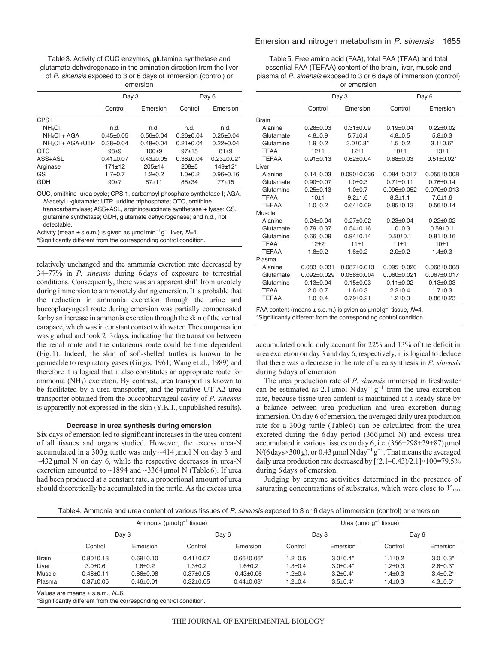| Table 3. Activity of OUC enzymes, glutamine synthetase and        |
|-------------------------------------------------------------------|
| glutamate dehydrogenase in the amination direction from the liver |
| of P. sinensis exposed to 3 or 6 days of immersion (control) or   |
| omoroion                                                          |

|               |               | Day 6            |                   |  |  |  |  |  |
|---------------|---------------|------------------|-------------------|--|--|--|--|--|
| Control       | Emersion      | Control          | Emersion          |  |  |  |  |  |
|               |               |                  |                   |  |  |  |  |  |
| n.d.          | n.d.          | n.d.             | n.d.              |  |  |  |  |  |
| $0.45 + 0.05$ | $0.56 + 0.04$ | $0.26 + 0.04$    | $0.25 + 0.04$     |  |  |  |  |  |
| $0.38 + 0.04$ | $0.48 + 0.04$ | $0.21 \pm 0.04$  | $0.22 + 0.04$     |  |  |  |  |  |
| $98 + 9$      | $100+9$       | $97+15$          | $81 + 9$          |  |  |  |  |  |
| $0.41 + 0.07$ | $0.43 + 0.05$ | $0.36 + 0.04$    | $0.23 \pm 0.02^*$ |  |  |  |  |  |
| $171 + 12$    | $205+14$      | $208 + 5$        | $149+12*$         |  |  |  |  |  |
| $1.7 + 0.7$   | $1.2 + 0.2$   | $1.0 + 0.2$      | $0.96 + 0.16$     |  |  |  |  |  |
| $90+7$        | $87 + 11$     | $85 + 34$        | $77 + 15$         |  |  |  |  |  |
|               |               | unuruun<br>Day 3 |                   |  |  |  |  |  |

OUC, ornithine–urea cycle; CPS 1, carbamoyl phosphate synthetase I; AGA, *N*-acetyl L-glutamate; UTP, uridine triphosphate; OTC, ornithine

transcarbamylase; ASS+ASL, argininosuccinate synthetase + lyase; GS, glutamine synthetase; GDH, glutamate dehydrogenase; and n.d., not detectable.

Activity (mean  $\pm$  s.e.m.) is given as  $\mu$ mol min<sup>-1</sup> g<sup>-1</sup> liver, N=4.

\*Significantly different from the corresponding control condition.

relatively unchanged and the ammonia excretion rate decreased by 34–77% in *P. sinensis* during 6days of exposure to terrestrial conditions. Consequently, there was an apparent shift from ureotely during immersion to ammonotely during emersion. It is probable that the reduction in ammonia excretion through the urine and buccopharyngeal route during emersion was partially compensated for by an increase in ammonia excretion through the skin of the ventral carapace, which was in constant contact with water. The compensation was gradual and took 2–3 days, indicating that the transition between the renal route and the cutaneous route could be time dependent (Fig.1). Indeed, the skin of soft-shelled turtles is known to be permeable to respiratory gases (Girgis, 1961; Wang et al., 1989) and therefore it is logical that it also constitutes an appropriate route for ammonia (NH3) excretion. By contrast, urea transport is known to be facilitated by a urea transporter, and the putative UT-A2 urea transporter obtained from the buccopharyngeal cavity of *P. sinensis* is apparently not expressed in the skin (Y.K.I., unpublished results).

#### **Decrease in urea synthesis during emersion**

Six days of emersion led to significant increases in the urea content of all tissues and organs studied. However, the excess urea-N accumulated in a 300g turtle was only ~414μmol N on day 3 and  $\sim$ 432 µmol N on day 6, while the respective decreases in urea-N excretion amounted to  $\sim$ 1894 and  $\sim$ 3364 µmol N (Table6). If urea had been produced at a constant rate, a proportional amount of urea should theoretically be accumulated in the turtle. As the excess urea

Table5. Free amino acid (FAA), total FAA (TFAA) and total essential FAA (TEFAA) content of the brain, liver, muscle and plasma of *P. sinensis* exposed to 3 or 6 days of immersion (control) or emersion

|              |                 | Day 3           |                 | Day 6            |  |  |
|--------------|-----------------|-----------------|-----------------|------------------|--|--|
|              | Control         | Emersion        | Control         | Emersion         |  |  |
| <b>Brain</b> |                 |                 |                 |                  |  |  |
| Alanine      | $0.28 + 0.03$   | $0.31 + 0.09$   | $0.19 + 0.04$   | $0.22 + 0.02$    |  |  |
| Glutamate    | $4.8 + 0.9$     | $5.7 + 0.4$     | $4.8 + 0.5$     | $5.8 + 0.3$      |  |  |
| Glutamine    | $1.9 + 0.2$     | $3.0 + 0.3*$    | $1.5 + 0.2$     | $3.1 + 0.6*$     |  |  |
| <b>TFAA</b>  | $12 + 1$        | $12+1$          | $10+1$          | $13 + 1$         |  |  |
| <b>TFFAA</b> | $0.91 \pm 0.13$ | $0.62 + 0.04$   | $0.68 + 0.03$   | $0.51 \pm 0.02*$ |  |  |
| Liver        |                 |                 |                 |                  |  |  |
| Alanine      | $0.14 \pm 0.03$ | $0.090 + 0.036$ | $0.084 + 0.017$ | $0.055 + 0.008$  |  |  |
| Glutamate    | $0.90 + 0.07$   | $1.0 + 0.3$     | $0.71 + 0.11$   | $0.76 + 0.14$    |  |  |
| Glutamine    | $0.25 + 0.13$   | $10+07$         | $0.096 + 0.052$ | $0.070 + 0.013$  |  |  |
| <b>TFAA</b>  | $10+1$          | $9.2 + 1.6$     | $8.3 + 1.1$     | $7.6 + 1.6$      |  |  |
| <b>TFFAA</b> | $1.0 + 0.2$     | $0.64 + 0.09$   | $0.85 + 0.13$   | $0.56 + 0.14$    |  |  |
| Muscle       |                 |                 |                 |                  |  |  |
| Alanine      | $0.24 + 0.04$   | $0.27 + 0.02$   | $0.23 + 0.04$   | $0.22 + 0.02$    |  |  |
| Glutamate    | $0.79 + 0.37$   | $0.54 + 0.16$   | $1.0 + 0.3$     | $0.59 + 0.1$     |  |  |
| Glutamine    | $0.66 + 0.09$   | $0.94 + 0.14$   | $0.50 + 0.1$    | $0.81 + 0.16$    |  |  |
| <b>TFAA</b>  | $12 + 2$        | 11±1            | 11±1            | $10+1$           |  |  |
| <b>TFFAA</b> | $1.8 + 0.2$     | $1.6 + 0.2$     | $2.0 + 0.2$     | $1.4 \pm 0.3$    |  |  |
| Plasma       |                 |                 |                 |                  |  |  |
| Alanine      | $0.083 + 0.031$ | $0.087 + 0.013$ | $0.095 + 0.020$ | $0.068 + 0.008$  |  |  |
| Glutamate    | $0.092 + 0.029$ | $0.058 + 0.004$ | $0.060 + 0.021$ | $0.067 + 0.017$  |  |  |
| Glutamine    | $0.13 + 0.04$   | $0.15 \pm 0.03$ | $0.11 \pm 0.02$ | $0.13 + 0.03$    |  |  |
| <b>TFAA</b>  | $2.0 + 0.7$     | $1.6 + 0.3$     | $2.2 + 0.4$     | $1.7 + 0.3$      |  |  |
| <b>TEFAA</b> | $1.0 + 0.4$     | $0.79 + 0.21$   | $1.2 + 0.3$     | $0.86 + 0.23$    |  |  |

FAA content (means  $\pm$  s.e.m.) is gvien as  $\mu$ mol g<sup>-1</sup> tissue, N=4. \*Significantly different from the corresponding control condition.

accumulated could only account for 22% and 13% of the deficit in urea excretion on day 3 and day 6, respectively, it is logical to deduce that there was a decrease in the rate of urea synthesis in *P. sinensis* during 6days of emersion.

The urea production rate of *P. sinensis* immersed in freshwater can be estimated as 2.1 µmol Nday<sup>-1</sup> g<sup>-1</sup> from the urea excretion rate, because tissue urea content is maintained at a steady state by a balance between urea production and urea excretion during immersion. On day 6 of emersion, the averaged daily urea production rate for a 300g turtle (Table6) can be calculated from the urea excreted during the 6day period (366μmol N) and excess urea accumulated in various tissues on day 6, i.e. (366+298+29+87)μmol N/(6 days×300 g), or 0.43 µmol N day<sup>-1</sup> g<sup>-1</sup>. That means the averaged daily urea production rate decreased by [(2.1–0.43)/2.1]×100=79.5% during 6days of emersion.

Judging by enzyme activities determined in the presence of saturating concentrations of substrates, which were close to  $V_{\text{max}}$ 

Table4. Ammonia and urea content of various tissues of *P. sinensis* exposed to 3 or 6 days of immersion (control) or emersion

|              |                 | Ammonia ( $\mu$ mol $q^{-1}$ tissue) |                 |                |               | Urea ( $\mu$ molg <sup>-1</sup> tissue) |               |                |  |
|--------------|-----------------|--------------------------------------|-----------------|----------------|---------------|-----------------------------------------|---------------|----------------|--|
|              | Day 3           |                                      | Day 6           |                | Day 3         |                                         | Day 6         |                |  |
|              | Control         | Emersion                             | Control         | Emersion       | Control       | Emersion                                | Control       | Emersion       |  |
| <b>Brain</b> | $0.80 \pm 0.13$ | $0.69 + 0.10$                        | $0.41 \pm 0.07$ | $0.66 + 0.06*$ | $1.2 \pm 0.5$ | $3.0 + 0.4*$                            | $1.1 \pm 0.2$ | $3.0 + 0.3*$   |  |
| Liver        | $3.0 + 0.6$     | $1.6 + 0.2$                          | $1.3 + 0.2$     | $1.6 + 0.2$    | $1.3 \pm 0.4$ | $3.0 + 0.4*$                            | $1.2 \pm 0.3$ | $2.8 + 0.3*$   |  |
| Muscle       | $0.48 + 0.11$   | $0.66 + 0.08$                        | $0.37 + 0.05$   | $0.43 + 0.06$  | $1.2 \pm 0.4$ | $3.2 + 0.4*$                            | $1.4 \pm 0.3$ | $3.4 + 0.2^*$  |  |
| Plasma       | $0.37 \pm 0.05$ | $0.46 + 0.01$                        | $0.32 \pm 0.05$ | $0.44 + 0.03*$ | $1.2 \pm 0.4$ | $3.5 \pm 0.4*$                          | $1.4 \pm 0.3$ | $4.3{\pm}0.5*$ |  |
|              |                 |                                      |                 |                |               |                                         |               |                |  |

Values are means ± s.e.m., *N*=6.

\*Significantly different from the corresponding control condition.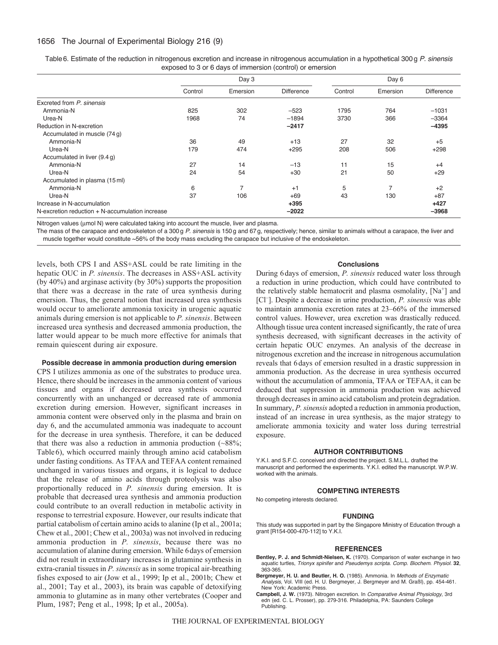# 1656 The Journal of Experimental Biology 216 (9)

|                                                 | Day 3   |          |            | Day 6   |                |                   |
|-------------------------------------------------|---------|----------|------------|---------|----------------|-------------------|
|                                                 | Control | Emersion | Difference | Control | Emersion       | <b>Difference</b> |
| Excreted from P. sinensis                       |         |          |            |         |                |                   |
| Ammonia-N                                       | 825     | 302      | $-523$     | 1795    | 764            | $-1031$           |
| Urea-N                                          | 1968    | 74       | $-1894$    | 3730    | 366            | $-3364$           |
| Reduction in N-excretion                        |         |          | $-2417$    |         |                | $-4395$           |
| Accumulated in muscle (74g)                     |         |          |            |         |                |                   |
| Ammonia-N                                       | 36      | 49       | $+13$      | 27      | 32             | $+5$              |
| Urea-N                                          | 179     | 474      | $+295$     | 208     | 506            | $+298$            |
| Accumulated in liver (9.4g)                     |         |          |            |         |                |                   |
| Ammonia-N                                       | 27      | 14       | $-13$      | 11      | 15             | $+4$              |
| Urea-N                                          | 24      | 54       | $+30$      | 21      | 50             | $+29$             |
| Accumulated in plasma (15 ml)                   |         |          |            |         |                |                   |
| Ammonia-N                                       | 6       | 7        | $+1$       | 5       | $\overline{ }$ | $+2$              |
| Urea-N                                          | 37      | 106      | $+69$      | 43      | 130            | $+87$             |
| Increase in N-accumulation                      |         |          | $+395$     |         |                | $+427$            |
| N-excretion reduction + N-accumulation increase |         |          | $-2022$    |         |                | $-3968$           |

Table6. Estimate of the reduction in nitrogenous excretion and increase in nitrogenous accumulation in a hypothetical 300 g *P. sinensis* exposed to 3 or 6 days of immersion (control) or emersion

Nitrogen values ( $\mu$ mol N) were calculated taking into account the muscle, liver and plasma.

The mass of the carapace and endoskeleton of a 300 g *P. sinensis* is 150 g and 67 g, respectively; hence, similar to animals without a carapace, the liver and muscle together would constitute ~56% of the body mass excluding the carapace but inclusive of the endoskeleton.

levels, both CPS I and ASS+ASL could be rate limiting in the hepatic OUC in *P. sinensis*. The decreases in ASS+ASL activity (by 40%) and arginase activity (by 30%) supports the proposition that there was a decrease in the rate of urea synthesis during emersion. Thus, the general notion that increased urea synthesis would occur to ameliorate ammonia toxicity in urogenic aquatic animals during emersion is not applicable to *P. sinensis*. Between increased urea synthesis and decreased ammonia production, the latter would appear to be much more effective for animals that remain quiescent during air exposure.

#### **Possible decrease in ammonia production during emersion**

CPS I utilizes ammonia as one of the substrates to produce urea. Hence, there should be increases in the ammonia content of various tissues and organs if decreased urea synthesis occurred concurrently with an unchanged or decreased rate of ammonia excretion during emersion. However, significant increases in ammonia content were observed only in the plasma and brain on day 6, and the accumulated ammonia was inadequate to account for the decrease in urea synthesis. Therefore, it can be deduced that there was also a reduction in ammonia production  $(-88\%;$ Table 6), which occurred mainly through amino acid catabolism under fasting conditions. As TFAA and TEFAA content remained unchanged in various tissues and organs, it is logical to deduce that the release of amino acids through proteolysis was also proportionally reduced in *P. sinensis* during emersion. It is probable that decreased urea synthesis and ammonia production could contribute to an overall reduction in metabolic activity in response to terrestrial exposure. However, our results indicate that partial catabolism of certain amino acids to alanine (Ip et al., 2001a; Chew et al., 2001; Chew et al., 2003a) was not involved in reducing ammonia production in *P. sinensis*, because there was no accumulation of alanine during emersion. While 6days of emersion did not result in extraordinary increases in glutamine synthesis in extra-cranial tissues in *P. sinensis* as in some tropical air-breathing fishes exposed to air (Jow et al., 1999; Ip et al., 2001b; Chew et al., 2001; Tay et al., 2003), its brain was capable of detoxifying ammonia to glutamine as in many other vertebrates (Cooper and Plum, 1987; Peng et al., 1998; Ip et al., 2005a).

# **Conclusions**

During 6days of emersion, *P. sinensis* reduced water loss through a reduction in urine production, which could have contributed to the relatively stable hematocrit and plasma osmolality,  $[Na^+]$  and [Cl– ]. Despite a decrease in urine production, *P. sinensis* was able to maintain ammonia excretion rates at 23–66% of the immersed control values. However, urea excretion was drastically reduced. Although tissue urea content increased significantly, the rate of urea synthesis decreased, with significant decreases in the activity of certain hepatic OUC enzymes. An analysis of the decrease in nitrogenous excretion and the increase in nitrogenous accumulation reveals that 6days of emersion resulted in a drastic suppression in ammonia production. As the decrease in urea synthesis occurred without the accumulation of ammonia, TFAA or TEFAA, it can be deduced that suppression in ammonia production was achieved through decreases in amino acid catabolism and protein degradation. In summary, *P. sinensis* adopted a reduction in ammonia production, instead of an increase in urea synthesis, as the major strategy to ameliorate ammonia toxicity and water loss during terrestrial exposure.

#### **AUTHOR CONTRIBUTIONS**

Y.K.I. and S.F.C. conceived and directed the project. S.M.L.L. drafted the manuscript and performed the experiments. Y.K.I. edited the manuscript. W.P.W. worked with the animals.

#### **COMPETING INTERESTS**

No competing interests declared.

#### **FUNDING**

This study was supported in part by the Singapore Ministry of Education through a grant [R154-000-470-112] to Y.K.I.

#### **REFERENCES**

- **Bentley, P. J. and Schmidt-Nielsen, K.** (1970). Comparison of water exchange in two aquatic turtles, *Trionyx spinifer* and *Pseudemys scripta*. *Comp. Biochem. Physiol.* **32**, 363-365.
- **Bergmeyer, H. U. and Beutler, H. O.** (1985). Ammonia. In *Methods of Enzymatic Analysis*, Vol. VIII (ed. H. U. Bergmeyer, J. Bergmeyer and M. Graßl), pp. 454-461. New York: Academic Press.
- **Campbell, J. W.** (1973). Nitrogen excretion. In *Comparative Animal Physiology*, 3rd edn (ed. C. L. Prosser), pp. 279-316. Philadelphia, PA: Saunders College Publishing.